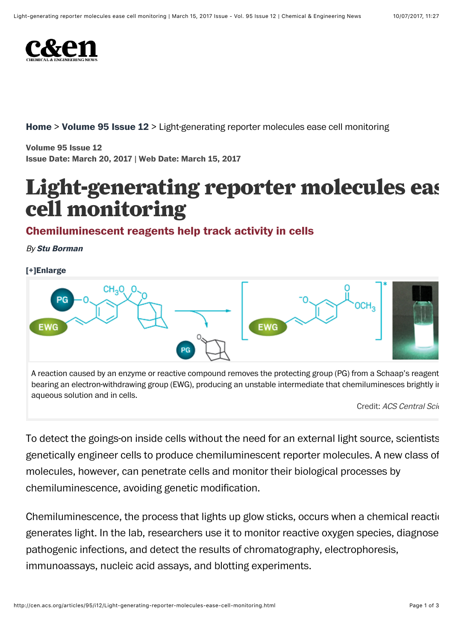

[Home](http://cen.acs.org/index.html) > [Volume 95 Issue 12](http://cen.acs.org/magazine/95/09512.html) > Light-generating reporter molecules ease cell monitoring

Volume 95 Issue 12 Issue Date: March 20, 2017 | Web Date: March 15, 2017

## **Light-generating reporter molecules ease** cell monitoring

## Chemiluminescent reagents help track activity in cells

By [Stu Borman](http://cen.acs.org/static/about/staff_landing/biosb.html)

[\[+\]Enlarge](javascript:doMediaModal(%7B)



A reaction caused by an enzyme or reactive compound removes the protecting group (PG) from a Schaap's reagent bearing an electron-withdrawing group (EWG), producing an unstable intermediate that chemiluminesces brightly in aqueous solution and in cells.

Credit: ACS Central Science

To detect the goings-on inside cells without the need for an external light source, scientists genetically engineer cells to produce chemiluminescent reporter molecules. A new class of molecules, however, can penetrate cells and monitor their biological processes by chemiluminescence, avoiding genetic modification.

Chemiluminescence, the process that lights up glow sticks, occurs when a chemical reaction generates light. In the lab, researchers use it to monitor reactive oxygen species, diagnose pathogenic infections, and detect the results of chromatography, electrophoresis, immunoassays, nucleic acid assays, and blotting experiments.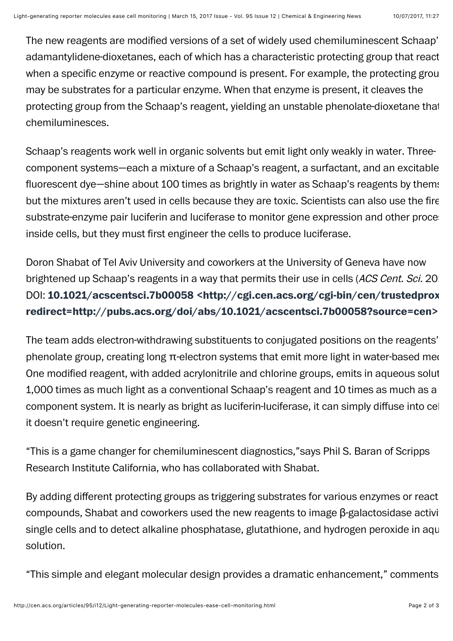The new reagents are modified versions of a set of widely used chemiluminescent Schaap' adamantylidene-dioxetanes, each of which has a characteristic protecting group that react when a specific enzyme or reactive compound is present. For example, the protecting grou may be substrates for a particular enzyme. When that enzyme is present, it cleaves the protecting group from the Schaap's reagent, yielding an unstable phenolate-dioxetane that chemiluminesces.

Schaap's reagents work well in organic solvents but emit light only weakly in water. Threecomponent systems—each a mixture of a Schaap's reagent, a surfactant, and an excitable fluorescent dye—shine about 100 times as brightly in water as Schaap's reagents by thems but the mixtures aren't used in cells because they are toxic. Scientists can also use the fire substrate-enzyme pair luciferin and luciferase to monitor gene expression and other proce inside cells, but they must first engineer the cells to produce luciferase.

Doron Shabat of Tel Aviv University and coworkers at the University of Geneva have now brightened up Schaap's reagents in a way that permits their use in cells (ACS Cent. Sci. 20) DOI: 10.1021/acscentsci.7b00058 <http://cgi.cen.acs.org/cgi-bin/cen/trustedprox [redirect=http://pubs.acs.org/doi/abs/10.1021/acscentsci.7b00058?source=cen>](http://cgi.cen.acs.org/cgi-bin/cen/trustedproxy.cgi?redirect=http://pubs.acs.org/doi/abs/10.1021/acscentsci.7b00058?source=cen) 

The team adds electron-withdrawing substituents to conjugated positions on the reagents' phenolate group, creating long  $\pi$ -electron systems that emit more light in water-based media. One modified reagent, with added acrylonitrile and chlorine groups, emits in aqueous solut 1,000 times as much light as a conventional Schaap's reagent and 10 times as much as a component system. It is nearly as bright as luciferin-luciferase, it can simply diffuse into cel it doesn't require genetic engineering.

"This is a game changer for chemiluminescent diagnostics,"says Phil S. Baran of Scripps Research Institute California, who has collaborated with Shabat.

By adding different protecting groups as triggering substrates for various enzymes or react compounds, Shabat and coworkers used the new reagents to image β-galactosidase activi single cells and to detect alkaline phosphatase, glutathione, and hydrogen peroxide in aqu solution.

"This simple and elegant molecular design provides a dramatic enhancement," comments